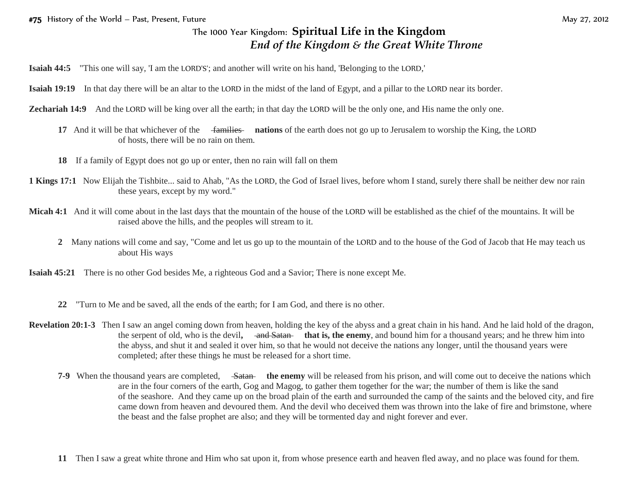## The 1000 Year Kingdom: **Spiritual Life in the Kingdom**  *End of the Kingdom & the Great White Throne*

**Isaiah 44:5** "This one will say, 'I am the LORD'S'; and another will write on his hand, 'Belonging to the LORD,'

**Isaiah 19:19** In that day there will be an altar to the LORD in the midst of the land of Egypt, and a pillar to the LORD near its border.

**Zechariah 14:9** And the LORD will be king over all the earth; in that day the LORD will be the only one, and His name the only one.

- **17** And it will be that whichever of the families **nations** of the earth does not go up to Jerusalem to worship the King, the LORD of hosts, there will be no rain on them.
- **18** If a family of Egypt does not go up or enter, then no rain will fall on them
- **1 Kings 17:1** Now Elijah the Tishbite... said to Ahab, "As the LORD, the God of Israel lives, before whom I stand, surely there shall be neither dew nor rain these years, except by my word."
- **Micah 4:1** And it will come about in the last days that the mountain of the house of the LORD will be established as the chief of the mountains. It will be raised above the hills, and the peoples will stream to it.
	- **2** Many nations will come and say, "Come and let us go up to the mountain of the LORD and to the house of the God of Jacob that He may teach us about His ways

**Isaiah 45:21** There is no other God besides Me, a righteous God and a Savior; There is none except Me.

- **22** "Turn to Me and be saved, all the ends of the earth; for I am God, and there is no other.
- **Revelation 20:1-3** Then I saw an angel coming down from heaven, holding the key of the abyss and a great chain in his hand. And he laid hold of the dragon, the serpent of old, who is the devil, and Satan that is, the enemy, and bound him for a thousand years; and he threw him into the abyss, and shut it and sealed it over him, so that he would not deceive the nations any longer, until the thousand years were completed; after these things he must be released for a short time.
	- **7-9** When the thousand years are completed, Satan the enemy will be released from his prison, and will come out to deceive the nations which are in the four corners of the earth, Gog and Magog, to gather them together for the war; the number of them is like the sand of the seashore. And they came up on the broad plain of the earth and surrounded the camp of the saints and the beloved city, and fire came down from heaven and devoured them. And the devil who deceived them was thrown into the lake of fire and brimstone, where the beast and the false prophet are also; and they will be tormented day and night forever and ever.
	- **11** Then I saw a great white throne and Him who sat upon it, from whose presence earth and heaven fled away, and no place was found for them.